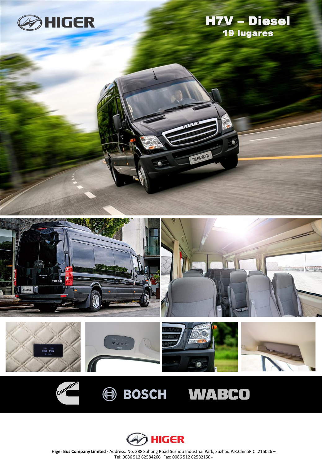

Cummins

## H7V – Diesel 19 lugares



油格客车







**Higer Bus Company Limited -** Address: No. 288 Suhong Road Suzhou Industrial Park, Suzhou P.R.ChinaP.C.:215026 – Tel: 0086 512 62584266 Fax: 0086 512 62582150 -